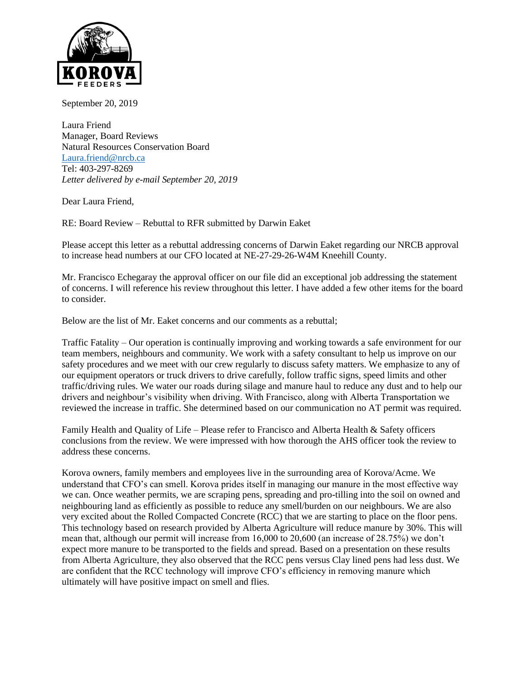

September 20, 2019

Laura Friend Manager, Board Reviews Natural Resources Conservation Board [Laura.friend@nrcb.ca](mailto:Laura.friend@nrcb.ca) Tel: 403-297-8269 *Letter delivered by e-mail September 20, 2019*

Dear Laura Friend,

RE: Board Review – Rebuttal to RFR submitted by Darwin Eaket

Please accept this letter as a rebuttal addressing concerns of Darwin Eaket regarding our NRCB approval to increase head numbers at our CFO located at NE-27-29-26-W4M Kneehill County.

Mr. Francisco Echegaray the approval officer on our file did an exceptional job addressing the statement of concerns. I will reference his review throughout this letter. I have added a few other items for the board to consider.

Below are the list of Mr. Eaket concerns and our comments as a rebuttal;

Traffic Fatality – Our operation is continually improving and working towards a safe environment for our team members, neighbours and community. We work with a safety consultant to help us improve on our safety procedures and we meet with our crew regularly to discuss safety matters. We emphasize to any of our equipment operators or truck drivers to drive carefully, follow traffic signs, speed limits and other traffic/driving rules. We water our roads during silage and manure haul to reduce any dust and to help our drivers and neighbour's visibility when driving. With Francisco, along with Alberta Transportation we reviewed the increase in traffic. She determined based on our communication no AT permit was required.

Family Health and Quality of Life – Please refer to Francisco and Alberta Health & Safety officers conclusions from the review. We were impressed with how thorough the AHS officer took the review to address these concerns.

Korova owners, family members and employees live in the surrounding area of Korova/Acme. We understand that CFO's can smell. Korova prides itself in managing our manure in the most effective way we can. Once weather permits, we are scraping pens, spreading and pro-tilling into the soil on owned and neighbouring land as efficiently as possible to reduce any smell/burden on our neighbours. We are also very excited about the Rolled Compacted Concrete (RCC) that we are starting to place on the floor pens. This technology based on research provided by Alberta Agriculture will reduce manure by 30%. This will mean that, although our permit will increase from 16,000 to 20,600 (an increase of 28.75%) we don't expect more manure to be transported to the fields and spread. Based on a presentation on these results from Alberta Agriculture, they also observed that the RCC pens versus Clay lined pens had less dust. We are confident that the RCC technology will improve CFO's efficiency in removing manure which ultimately will have positive impact on smell and flies.